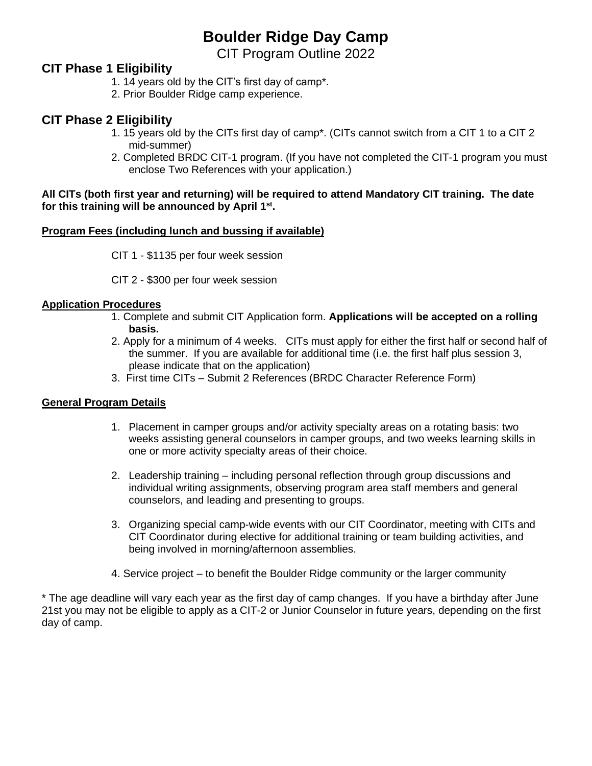## **Boulder Ridge Day Camp**

CIT Program Outline 2022

### **CIT Phase 1 Eligibility**

- 1. 14 years old by the CIT's first day of camp\*.
- 2. Prior Boulder Ridge camp experience.

### **CIT Phase 2 Eligibility**

- 1. 15 years old by the CITs first day of camp\*. (CITs cannot switch from a CIT 1 to a CIT 2 mid-summer)
- 2. Completed BRDC CIT-1 program. (If you have not completed the CIT-1 program you must enclose Two References with your application.)

#### **All CITs (both first year and returning) will be required to attend Mandatory CIT training. The date for this training will be announced by April 1st .**

### **Program Fees (including lunch and bussing if available)**

CIT 1 - \$1135 per four week session

CIT 2 - \$300 per four week session

#### **Application Procedures**

- 1. Complete and submit CIT Application form. **Applications will be accepted on a rolling basis.**
- 2. Apply for a minimum of 4 weeks. CITs must apply for either the first half or second half of the summer. If you are available for additional time (i.e. the first half plus session 3, please indicate that on the application)
- 3. First time CITs Submit 2 References (BRDC Character Reference Form)

#### **General Program Details**

- 1. Placement in camper groups and/or activity specialty areas on a rotating basis: two weeks assisting general counselors in camper groups, and two weeks learning skills in one or more activity specialty areas of their choice.
- 2. Leadership training including personal reflection through group discussions and individual writing assignments, observing program area staff members and general counselors, and leading and presenting to groups.
- 3. Organizing special camp-wide events with our CIT Coordinator, meeting with CITs and CIT Coordinator during elective for additional training or team building activities, and being involved in morning/afternoon assemblies.
- 4. Service project to benefit the Boulder Ridge community or the larger community

\* The age deadline will vary each year as the first day of camp changes. If you have a birthday after June 21st you may not be eligible to apply as a CIT-2 or Junior Counselor in future years, depending on the first day of camp.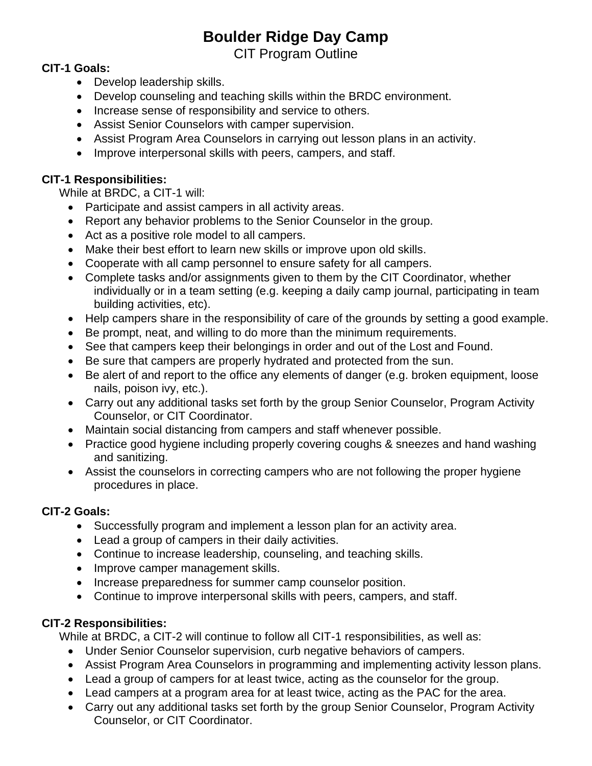# **Boulder Ridge Day Camp**

CIT Program Outline

### **CIT-1 Goals:**

- Develop leadership skills.
- Develop counseling and teaching skills within the BRDC environment.
- Increase sense of responsibility and service to others.
- Assist Senior Counselors with camper supervision.
- Assist Program Area Counselors in carrying out lesson plans in an activity.
- Improve interpersonal skills with peers, campers, and staff.

## **CIT-1 Responsibilities:**

While at BRDC, a CIT-1 will:

- Participate and assist campers in all activity areas.
- Report any behavior problems to the Senior Counselor in the group.
- Act as a positive role model to all campers.
- Make their best effort to learn new skills or improve upon old skills.
- Cooperate with all camp personnel to ensure safety for all campers.
- Complete tasks and/or assignments given to them by the CIT Coordinator, whether individually or in a team setting (e.g. keeping a daily camp journal, participating in team building activities, etc).
- Help campers share in the responsibility of care of the grounds by setting a good example.
- Be prompt, neat, and willing to do more than the minimum requirements.
- See that campers keep their belongings in order and out of the Lost and Found.
- Be sure that campers are properly hydrated and protected from the sun.
- Be alert of and report to the office any elements of danger (e.g. broken equipment, loose nails, poison ivy, etc.).
- Carry out any additional tasks set forth by the group Senior Counselor, Program Activity Counselor, or CIT Coordinator.
- Maintain social distancing from campers and staff whenever possible.
- Practice good hygiene including properly covering coughs & sneezes and hand washing and sanitizing.
- Assist the counselors in correcting campers who are not following the proper hygiene procedures in place.

## **CIT-2 Goals:**

- Successfully program and implement a lesson plan for an activity area.
- Lead a group of campers in their daily activities.
- Continue to increase leadership, counseling, and teaching skills.
- Improve camper management skills.
- Increase preparedness for summer camp counselor position.
- Continue to improve interpersonal skills with peers, campers, and staff.

## **CIT-2 Responsibilities:**

While at BRDC, a CIT-2 will continue to follow all CIT-1 responsibilities, as well as:

- Under Senior Counselor supervision, curb negative behaviors of campers.
- Assist Program Area Counselors in programming and implementing activity lesson plans.
- Lead a group of campers for at least twice, acting as the counselor for the group.
- Lead campers at a program area for at least twice, acting as the PAC for the area.
- Carry out any additional tasks set forth by the group Senior Counselor, Program Activity Counselor, or CIT Coordinator.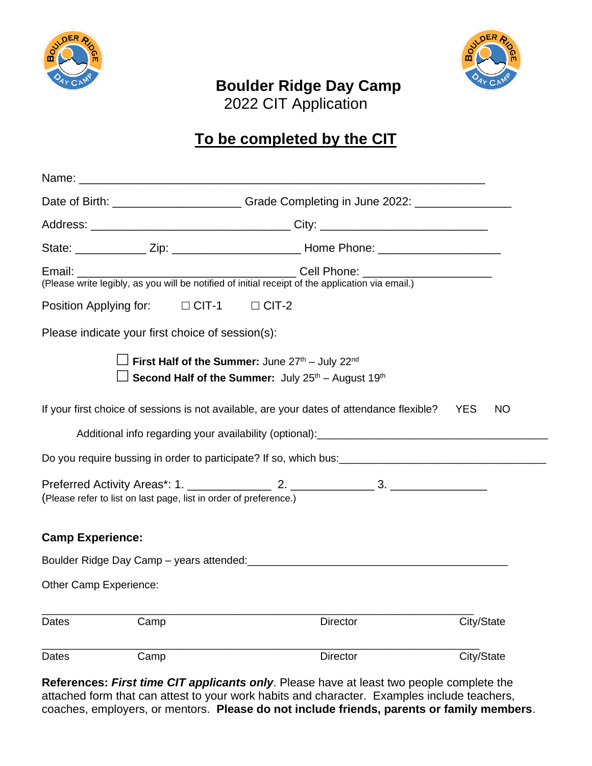



# **Boulder Ridge Day Camp**

2022 CIT Application

# **To be completed by the CIT**

|                         | Date of Birth: ______________________________Grade Completing in June 2022: ________________________                                                                       |              |                 |            |  |
|-------------------------|----------------------------------------------------------------------------------------------------------------------------------------------------------------------------|--------------|-----------------|------------|--|
|                         |                                                                                                                                                                            |              |                 |            |  |
|                         |                                                                                                                                                                            |              |                 |            |  |
|                         | Email: Cell Phone: Call Phone:<br>(Please write legibly, as you will be notified of initial receipt of the application via email.)                                         |              |                 |            |  |
|                         | Position Applying for: $\Box$ CIT-1                                                                                                                                        | $\Box$ CIT-2 |                 |            |  |
|                         | Please indicate your first choice of session(s):                                                                                                                           |              |                 |            |  |
|                         | $\Box$ First Half of the Summer: June 27 <sup>th</sup> – July 22 <sup>nd</sup><br>$\frac{1}{2}$ Second Half of the Summer: July 25 <sup>th</sup> – August 19 <sup>th</sup> |              |                 |            |  |
|                         | If your first choice of sessions is not available, are your dates of attendance flexible? YES                                                                              |              |                 | <b>NO</b>  |  |
|                         | Additional info regarding your availability (optional): [10] Decrement and the control of the Additional info                                                              |              |                 |            |  |
|                         |                                                                                                                                                                            |              |                 |            |  |
|                         | (Please refer to list on last page, list in order of preference.)                                                                                                          |              |                 |            |  |
| <b>Camp Experience:</b> |                                                                                                                                                                            |              |                 |            |  |
|                         |                                                                                                                                                                            |              |                 |            |  |
| Other Camp Experience:  |                                                                                                                                                                            |              |                 |            |  |
| Dates                   | Camp                                                                                                                                                                       |              | <b>Director</b> | City/State |  |
| Dates                   | Camp                                                                                                                                                                       |              | <b>Director</b> | City/State |  |

**References:** *First time CIT applicants only*. Please have at least two people complete the attached form that can attest to your work habits and character. Examples include teachers, coaches, employers, or mentors. **Please do not include friends, parents or family members**.